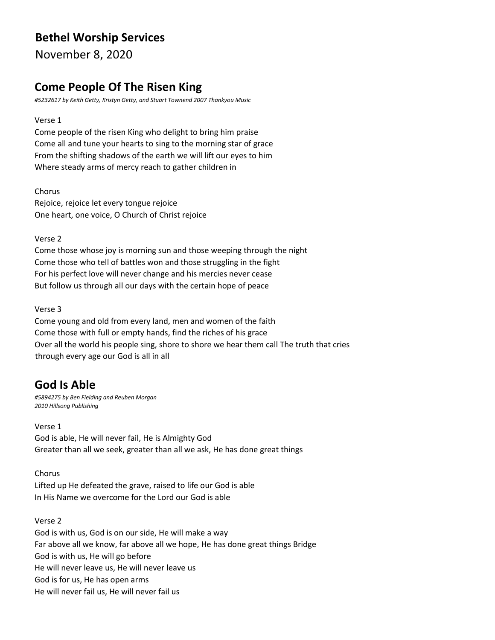# **Bethel Worship Services**

November 8, 2020

## **Come People Of The Risen King**

*#5232617 by Keith Getty, Kristyn Getty, and Stuart Townend 2007 Thankyou Music*

### Verse 1

Come people of the risen King who delight to bring him praise Come all and tune your hearts to sing to the morning star of grace From the shifting shadows of the earth we will lift our eyes to him Where steady arms of mercy reach to gather children in

Chorus Rejoice, rejoice let every tongue rejoice One heart, one voice, O Church of Christ rejoice

### Verse 2

Come those whose joy is morning sun and those weeping through the night Come those who tell of battles won and those struggling in the fight For his perfect love will never change and his mercies never cease But follow us through all our days with the certain hope of peace

### Verse 3

Come young and old from every land, men and women of the faith Come those with full or empty hands, find the riches of his grace Over all the world his people sing, shore to shore we hear them call The truth that cries through every age our God is all in all

### **God Is Able**

*#5894275 by Ben Fielding and Reuben Morgan 2010 Hillsong Publishing*

### Verse 1

God is able, He will never fail, He is Almighty God Greater than all we seek, greater than all we ask, He has done great things

### Chorus

Lifted up He defeated the grave, raised to life our God is able In His Name we overcome for the Lord our God is able

### Verse 2

God is with us, God is on our side, He will make a way Far above all we know, far above all we hope, He has done great things Bridge God is with us, He will go before He will never leave us, He will never leave us God is for us, He has open arms He will never fail us, He will never fail us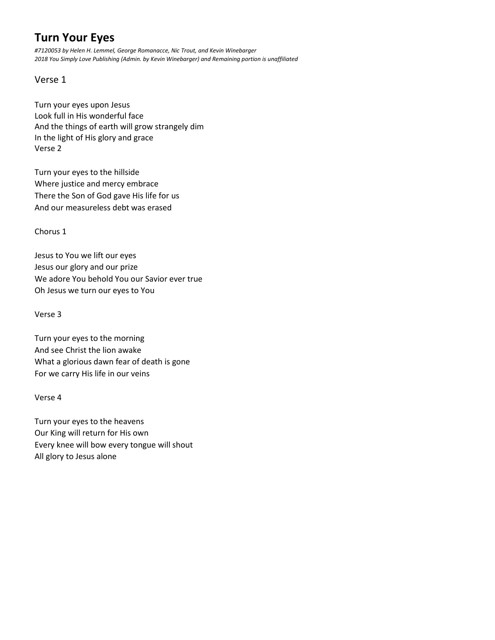## **Turn Your Eyes**

*#7120053 by Helen H. Lemmel, George Romanacce, Nic Trout, and Kevin Winebarger 2018 You Simply Love Publishing (Admin. by Kevin Winebarger) and Remaining portion is unaffiliated*

### Verse 1

Turn your eyes upon Jesus Look full in His wonderful face And the things of earth will grow strangely dim In the light of His glory and grace Verse 2

Turn your eyes to the hillside Where justice and mercy embrace There the Son of God gave His life for us And our measureless debt was erased

Chorus 1

Jesus to You we lift our eyes Jesus our glory and our prize We adore You behold You our Savior ever true Oh Jesus we turn our eyes to You

Verse 3

Turn your eyes to the morning And see Christ the lion awake What a glorious dawn fear of death is gone For we carry His life in our veins

### Verse 4

Turn your eyes to the heavens Our King will return for His own Every knee will bow every tongue will shout All glory to Jesus alone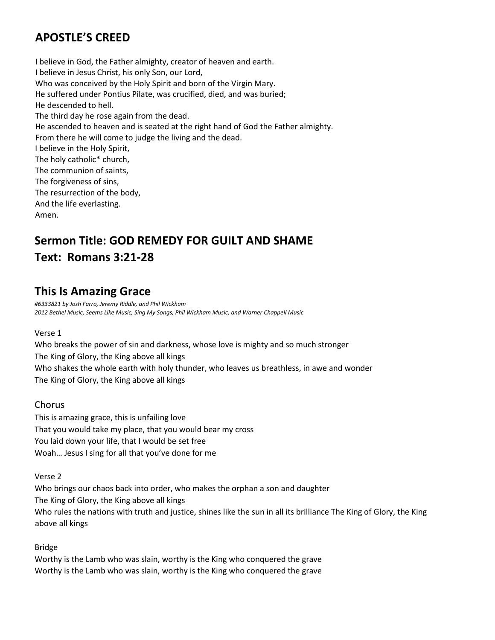# **APOSTLE'S CREED**

I believe in God, the Father almighty, creator of heaven and earth. I believe in Jesus Christ, his only Son, our Lord, Who was conceived by the Holy Spirit and born of the Virgin Mary. He suffered under Pontius Pilate, was crucified, died, and was buried; He descended to hell. The third day he rose again from the dead. He ascended to heaven and is seated at the right hand of God the Father almighty. From there he will come to judge the living and the dead. I believe in the Holy Spirit, The holy catholic\* church, The communion of saints, The forgiveness of sins, The resurrection of the body, And the life everlasting. Amen.

# **Sermon Title: GOD REMEDY FOR GUILT AND SHAME Text: Romans 3:21-28**

## **This Is Amazing Grace**

*#6333821 by Josh Farro, Jeremy Riddle, and Phil Wickham 2012 Bethel Music, Seems Like Music, Sing My Songs, Phil Wickham Music, and Warner Chappell Music*

### Verse 1

Who breaks the power of sin and darkness, whose love is mighty and so much stronger The King of Glory, the King above all kings Who shakes the whole earth with holy thunder, who leaves us breathless, in awe and wonder The King of Glory, the King above all kings

### Chorus

This is amazing grace, this is unfailing love That you would take my place, that you would bear my cross You laid down your life, that I would be set free Woah… Jesus I sing for all that you've done for me

### Verse 2

Who brings our chaos back into order, who makes the orphan a son and daughter The King of Glory, the King above all kings Who rules the nations with truth and justice, shines like the sun in all its brilliance The King of Glory, the King above all kings

Bridge

Worthy is the Lamb who was slain, worthy is the King who conquered the grave Worthy is the Lamb who was slain, worthy is the King who conquered the grave